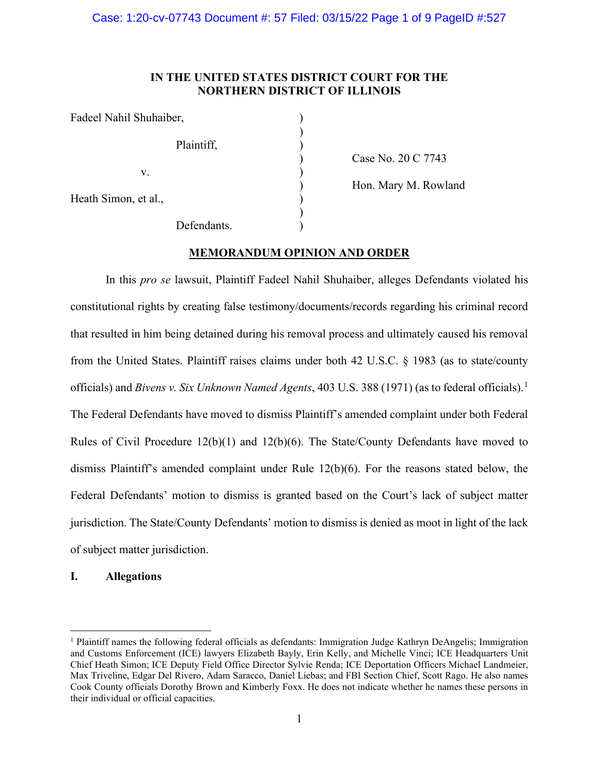## **IN THE UNITED STATES DISTRICT COURT FOR THE NORTHERN DISTRICT OF ILLINOIS**

| Fadeel Nahil Shuhaiber, |             |
|-------------------------|-------------|
|                         | Plaintiff,  |
| V.                      |             |
| Heath Simon, et al.,    |             |
|                         | Defendants. |

) Case No. 20 C 7743

) Hon. Mary M. Rowland

# **MEMORANDUM OPINION AND ORDER**

In this *pro se* lawsuit, Plaintiff Fadeel Nahil Shuhaiber, alleges Defendants violated his constitutional rights by creating false testimony/documents/records regarding his criminal record that resulted in him being detained during his removal process and ultimately caused his removal from the United States. Plaintiff raises claims under both 42 U.S.C. § 1983 (as to state/county officials) and *Bivens v. Six Unknown Named Agents*, 403 U.S. 388 (1971) (as to federal officials). [1](#page-0-0) The Federal Defendants have moved to dismiss Plaintiff's amended complaint under both Federal Rules of Civil Procedure 12(b)(1) and 12(b)(6). The State/County Defendants have moved to dismiss Plaintiff's amended complaint under Rule 12(b)(6). For the reasons stated below, the Federal Defendants' motion to dismiss is granted based on the Court's lack of subject matter jurisdiction. The State/County Defendants' motion to dismiss is denied as moot in light of the lack of subject matter jurisdiction.

## **I. Allegations**

<span id="page-0-0"></span> $1$  Plaintiff names the following federal officials as defendants: Immigration Judge Kathryn DeAngelis; Immigration and Customs Enforcement (ICE) lawyers Elizabeth Bayly, Erin Kelly, and Michelle Vinci; ICE Headquarters Unit Chief Heath Simon; ICE Deputy Field Office Director Sylvie Renda; ICE Deportation Officers Michael Landmeier, Max Triveline, Edgar Del Rivero, Adam Saracco, Daniel Liebas; and FBI Section Chief, Scott Rago. He also names Cook County officials Dorothy Brown and Kimberly Foxx. He does not indicate whether he names these persons in their individual or official capacities.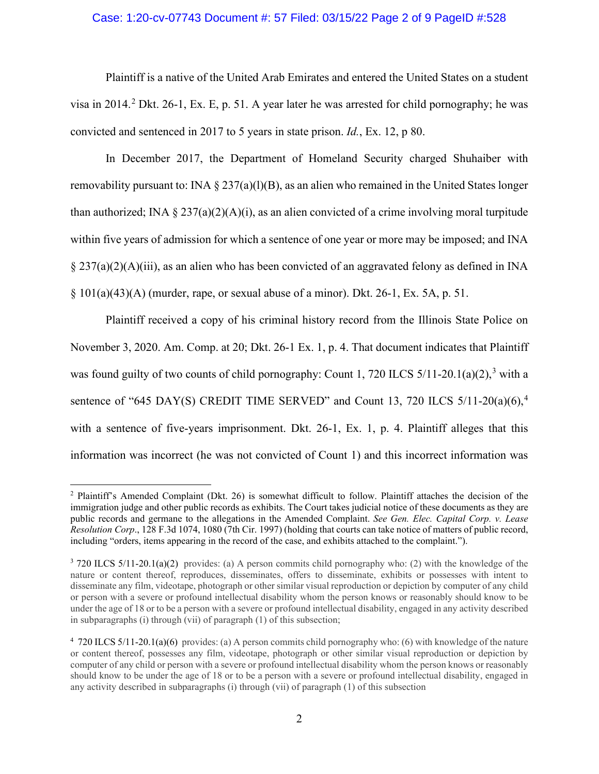## Case: 1:20-cv-07743 Document #: 57 Filed: 03/15/22 Page 2 of 9 PageID #:528

Plaintiff is a native of the United Arab Emirates and entered the United States on a student visa in [2](#page-1-0)014.<sup>2</sup> Dkt. 26-1, Ex. E, p. 51. A year later he was arrested for child pornography; he was convicted and sentenced in 2017 to 5 years in state prison. *Id.*, Ex. 12, p 80.

In December 2017, the Department of Homeland Security charged Shuhaiber with removability pursuant to: INA  $\S 237(a)(1)(B)$ , as an alien who remained in the United States longer than authorized; INA  $\S 237(a)(2)(A)(i)$ , as an alien convicted of a crime involving moral turpitude within five years of admission for which a sentence of one year or more may be imposed; and INA  $\S 237(a)(2)(A)(iii)$ , as an alien who has been convicted of an aggravated felony as defined in INA  $\S$  101(a)(43)(A) (murder, rape, or sexual abuse of a minor). Dkt. 26-1, Ex. 5A, p. 51.

Plaintiff received a copy of his criminal history record from the Illinois State Police on November 3, 2020. Am. Comp. at 20; Dkt. 26-1 Ex. 1, p. 4. That document indicates that Plaintiff was found guilty of two counts of child pornography: Count 1, 720 ILCS  $5/11-20.1(a)(2)$ ,<sup>[3](#page-1-1)</sup> with a sentence of "6[4](#page-1-2)5 DAY(S) CREDIT TIME SERVED" and Count 13, 720 ILCS  $5/11-20(a)(6)$ ,<sup>4</sup> with a sentence of five-years imprisonment. Dkt. 26-1, Ex. 1, p. 4. Plaintiff alleges that this information was incorrect (he was not convicted of Count 1) and this incorrect information was

<span id="page-1-0"></span><sup>2</sup> Plaintiff's Amended Complaint (Dkt. 26) is somewhat difficult to follow. Plaintiff attaches the decision of the immigration judge and other public records as exhibits. The Court takes judicial notice of these documents as they are public records and germane to the allegations in the Amended Complaint. *See Gen. Elec. Capital Corp. v. Lease Resolution Corp*., 128 F.3d 1074, 1080 (7th Cir. 1997) (holding that courts can take notice of matters of public record, including "orders, items appearing in the record of the case, and exhibits attached to the complaint.").

<span id="page-1-1"></span><sup>3</sup> 720 ILCS 5/11-20.1(a)(2) provides: (a) A person commits child pornography who: (2) with the knowledge of the nature or content thereof, reproduces, disseminates, offers to disseminate, exhibits or possesses with intent to disseminate any film, videotape, photograph or other similar visual reproduction or depiction by computer of any child or person with a severe or profound intellectual disability whom the person knows or reasonably should know to be under the age of 18 or to be a person with a severe or profound intellectual disability, engaged in any activity described in subparagraphs (i) through (vii) of paragraph (1) of this subsection;

<span id="page-1-2"></span><sup>&</sup>lt;sup>4</sup> 720 ILCS 5/11-20.1(a)(6) provides: (a) A person commits child pornography who: (6) with knowledge of the nature or content thereof, possesses any film, videotape, photograph or other similar visual reproduction or depiction by computer of any child or person with a severe or profound intellectual disability whom the person knows or reasonably should know to be under the age of 18 or to be a person with a severe or profound intellectual disability, engaged in any activity described in subparagraphs (i) through (vii) of paragraph (1) of this subsection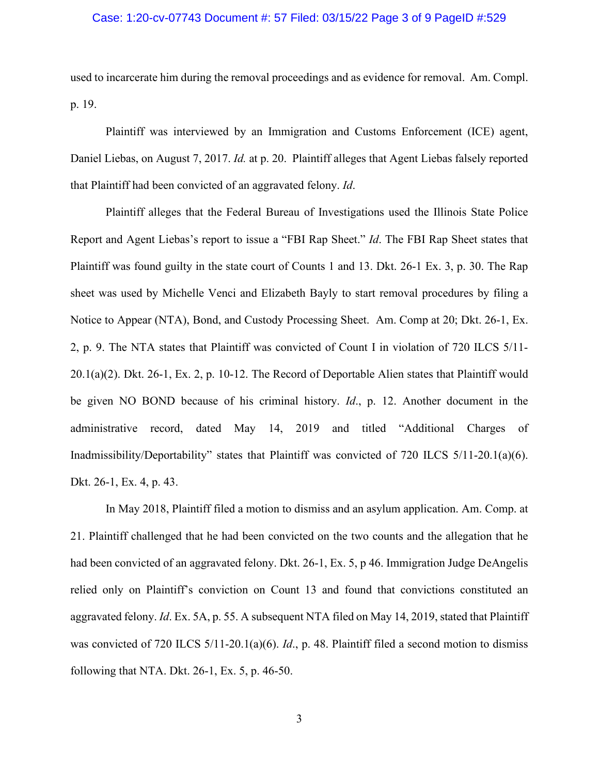### Case: 1:20-cv-07743 Document #: 57 Filed: 03/15/22 Page 3 of 9 PageID #:529

used to incarcerate him during the removal proceedings and as evidence for removal. Am. Compl. p. 19.

Plaintiff was interviewed by an Immigration and Customs Enforcement (ICE) agent, Daniel Liebas, on August 7, 2017. *Id.* at p. 20. Plaintiff alleges that Agent Liebas falsely reported that Plaintiff had been convicted of an aggravated felony. *Id*.

Plaintiff alleges that the Federal Bureau of Investigations used the Illinois State Police Report and Agent Liebas's report to issue a "FBI Rap Sheet." *Id*. The FBI Rap Sheet states that Plaintiff was found guilty in the state court of Counts 1 and 13. Dkt. 26-1 Ex. 3, p. 30. The Rap sheet was used by Michelle Venci and Elizabeth Bayly to start removal procedures by filing a Notice to Appear (NTA), Bond, and Custody Processing Sheet. Am. Comp at 20; Dkt. 26-1, Ex. 2, p. 9. The NTA states that Plaintiff was convicted of Count I in violation of 720 ILCS 5/11- 20.1(a)(2). Dkt. 26-1, Ex. 2, p. 10-12. The Record of Deportable Alien states that Plaintiff would be given NO BOND because of his criminal history. *Id*., p. 12. Another document in the administrative record, dated May 14, 2019 and titled "Additional Charges of Inadmissibility/Deportability" states that Plaintiff was convicted of 720 ILCS 5/11-20.1(a)(6). Dkt. 26-1, Ex. 4, p. 43.

In May 2018, Plaintiff filed a motion to dismiss and an asylum application. Am. Comp. at 21. Plaintiff challenged that he had been convicted on the two counts and the allegation that he had been convicted of an aggravated felony. Dkt. 26-1, Ex. 5, p 46. Immigration Judge DeAngelis relied only on Plaintiff's conviction on Count 13 and found that convictions constituted an aggravated felony. *Id*. Ex. 5A, p. 55. A subsequent NTA filed on May 14, 2019, stated that Plaintiff was convicted of 720 ILCS 5/11-20.1(a)(6). *Id*., p. 48. Plaintiff filed a second motion to dismiss following that NTA. Dkt. 26-1, Ex. 5, p. 46-50.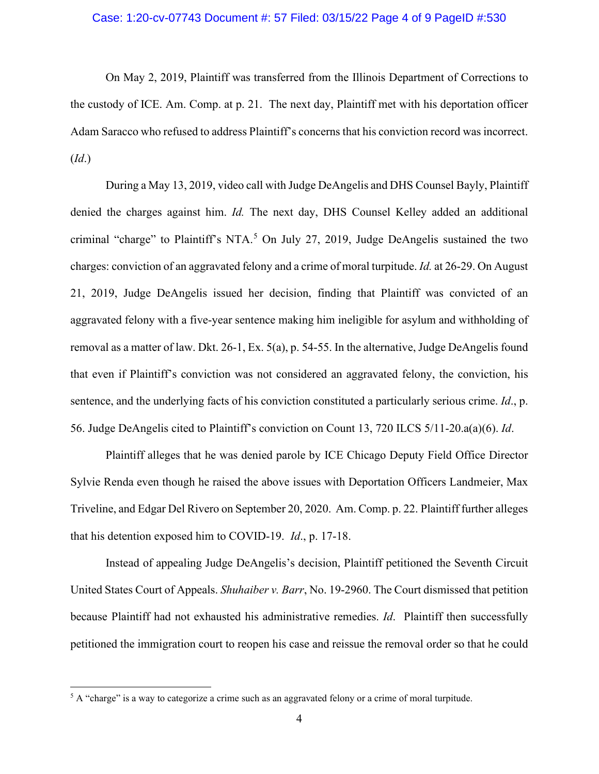#### Case: 1:20-cv-07743 Document #: 57 Filed: 03/15/22 Page 4 of 9 PageID #:530

On May 2, 2019, Plaintiff was transferred from the Illinois Department of Corrections to the custody of ICE. Am. Comp. at p. 21. The next day, Plaintiff met with his deportation officer Adam Saracco who refused to address Plaintiff's concerns that his conviction record was incorrect. (*Id*.)

During a May 13, 2019, video call with Judge DeAngelis and DHS Counsel Bayly, Plaintiff denied the charges against him. *Id.* The next day, DHS Counsel Kelley added an additional criminal "charge" to Plaintiff's NTA.<sup>[5](#page-3-0)</sup> On July 27, 2019, Judge DeAngelis sustained the two charges: conviction of an aggravated felony and a crime of moral turpitude. *Id.* at 26-29. On August 21, 2019, Judge DeAngelis issued her decision, finding that Plaintiff was convicted of an aggravated felony with a five-year sentence making him ineligible for asylum and withholding of removal as a matter of law. Dkt. 26-1, Ex. 5(a), p. 54-55. In the alternative, Judge DeAngelis found that even if Plaintiff's conviction was not considered an aggravated felony, the conviction, his sentence, and the underlying facts of his conviction constituted a particularly serious crime. *Id*., p. 56. Judge DeAngelis cited to Plaintiff's conviction on Count 13, 720 ILCS 5/11-20.a(a)(6). *Id*.

Plaintiff alleges that he was denied parole by ICE Chicago Deputy Field Office Director Sylvie Renda even though he raised the above issues with Deportation Officers Landmeier, Max Triveline, and Edgar Del Rivero on September 20, 2020. Am. Comp. p. 22. Plaintiff further alleges that his detention exposed him to COVID-19. *Id*., p. 17-18.

Instead of appealing Judge DeAngelis's decision, Plaintiff petitioned the Seventh Circuit United States Court of Appeals. *Shuhaiber v. Barr*, No. 19-2960. The Court dismissed that petition because Plaintiff had not exhausted his administrative remedies. *Id*. Plaintiff then successfully petitioned the immigration court to reopen his case and reissue the removal order so that he could

<span id="page-3-0"></span><sup>&</sup>lt;sup>5</sup> A "charge" is a way to categorize a crime such as an aggravated felony or a crime of moral turpitude.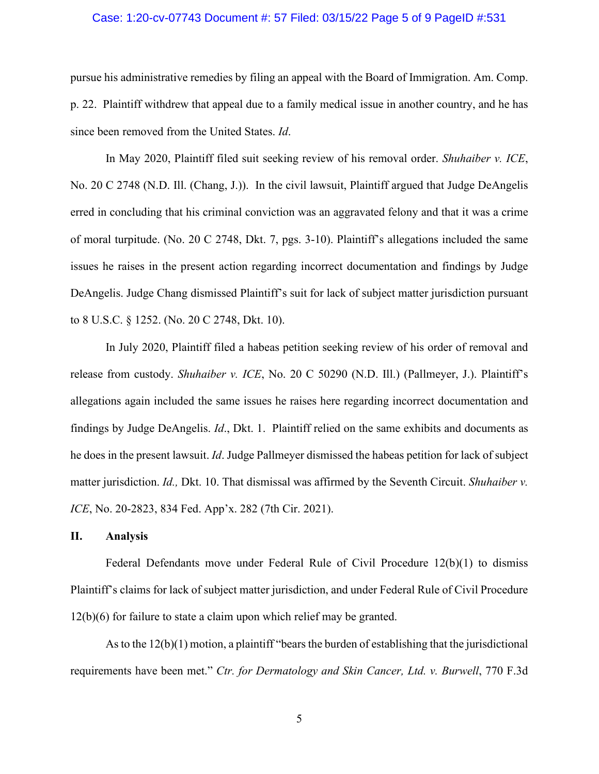#### Case: 1:20-cv-07743 Document #: 57 Filed: 03/15/22 Page 5 of 9 PageID #:531

pursue his administrative remedies by filing an appeal with the Board of Immigration. Am. Comp. p. 22. Plaintiff withdrew that appeal due to a family medical issue in another country, and he has since been removed from the United States. *Id*.

In May 2020, Plaintiff filed suit seeking review of his removal order. *Shuhaiber v. ICE*, No. 20 C 2748 (N.D. Ill. (Chang, J.)). In the civil lawsuit, Plaintiff argued that Judge DeAngelis erred in concluding that his criminal conviction was an aggravated felony and that it was a crime of moral turpitude. (No. 20 C 2748, Dkt. 7, pgs. 3-10). Plaintiff's allegations included the same issues he raises in the present action regarding incorrect documentation and findings by Judge DeAngelis. Judge Chang dismissed Plaintiff's suit for lack of subject matter jurisdiction pursuant to 8 U.S.C. § 1252. (No. 20 C 2748, Dkt. 10).

In July 2020, Plaintiff filed a habeas petition seeking review of his order of removal and release from custody. *Shuhaiber v. ICE*, No. 20 C 50290 (N.D. Ill.) (Pallmeyer, J.). Plaintiff's allegations again included the same issues he raises here regarding incorrect documentation and findings by Judge DeAngelis. *Id*., Dkt. 1. Plaintiff relied on the same exhibits and documents as he does in the present lawsuit. *Id*. Judge Pallmeyer dismissed the habeas petition for lack of subject matter jurisdiction. *Id.,* Dkt. 10. That dismissal was affirmed by the Seventh Circuit. *Shuhaiber v. ICE*, No. 20-2823, 834 Fed. App'x. 282 (7th Cir. 2021).

## **II. Analysis**

Federal Defendants move under Federal Rule of Civil Procedure  $12(b)(1)$  to dismiss Plaintiff's claims for lack of subject matter jurisdiction, and under Federal Rule of Civil Procedure 12(b)(6) for failure to state a claim upon which relief may be granted.

As to the 12(b)(1) motion, a plaintiff "bears the burden of establishing that the jurisdictional requirements have been met." *Ctr. for Dermatology and Skin Cancer, Ltd. v. Burwell*, 770 F.3d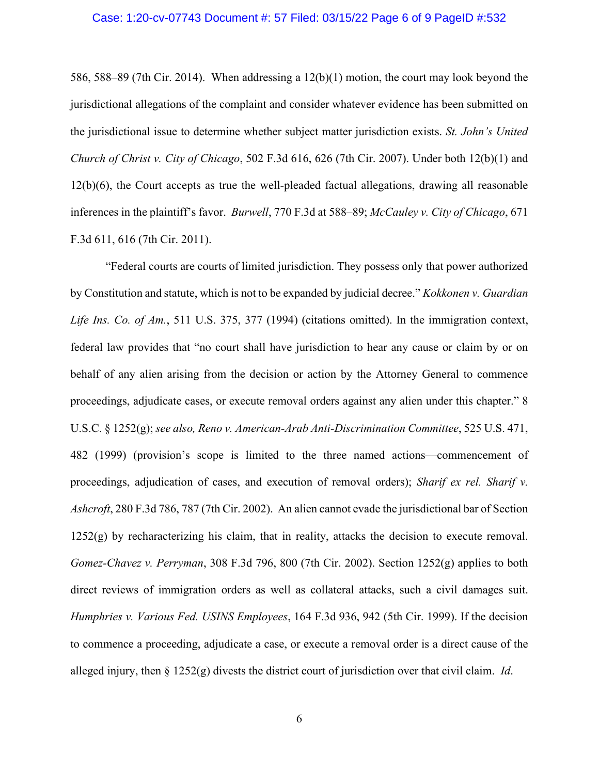#### Case: 1:20-cv-07743 Document #: 57 Filed: 03/15/22 Page 6 of 9 PageID #:532

586, 588–89 (7th Cir. 2014). When addressing a 12(b)(1) motion, the court may look beyond the jurisdictional allegations of the complaint and consider whatever evidence has been submitted on the jurisdictional issue to determine whether subject matter jurisdiction exists. *St. John's United Church of Christ v. City of Chicago*, 502 F.3d 616, 626 (7th Cir. 2007). Under both 12(b)(1) and 12(b)(6), the Court accepts as true the well-pleaded factual allegations, drawing all reasonable inferences in the plaintiff's favor. *Burwell*, 770 F.3d at 588–89; *McCauley v. City of Chicago*, 671 F.3d 611, 616 (7th Cir. 2011).

"Federal courts are courts of limited jurisdiction. They possess only that power authorized by Constitution and statute, which is not to be expanded by judicial decree." *Kokkonen v. Guardian Life Ins. Co. of Am.*, 511 U.S. 375, 377 (1994) (citations omitted). In the immigration context, federal law provides that "no court shall have jurisdiction to hear any cause or claim by or on behalf of any alien arising from the decision or action by the Attorney General to commence proceedings, adjudicate cases, or execute removal orders against any alien under this chapter." 8 U.S.C. § 1252(g); *see also, Reno v. American-Arab Anti-Discrimination Committee*, 525 U.S. 471, 482 (1999) (provision's scope is limited to the three named actions—commencement of proceedings, adjudication of cases, and execution of removal orders); *Sharif ex rel. Sharif v. Ashcroft*, 280 F.3d 786, 787 (7th Cir. 2002). An alien cannot evade the jurisdictional bar of Section 1252(g) by recharacterizing his claim, that in reality, attacks the decision to execute removal. *Gomez-Chavez v. Perryman*, 308 F.3d 796, 800 (7th Cir. 2002). Section 1252(g) applies to both direct reviews of immigration orders as well as collateral attacks, such a civil damages suit. *Humphries v. Various Fed. USINS Employees*, 164 F.3d 936, 942 (5th Cir. 1999). If the decision to commence a proceeding, adjudicate a case, or execute a removal order is a direct cause of the alleged injury, then § 1252(g) divests the district court of jurisdiction over that civil claim. *Id*.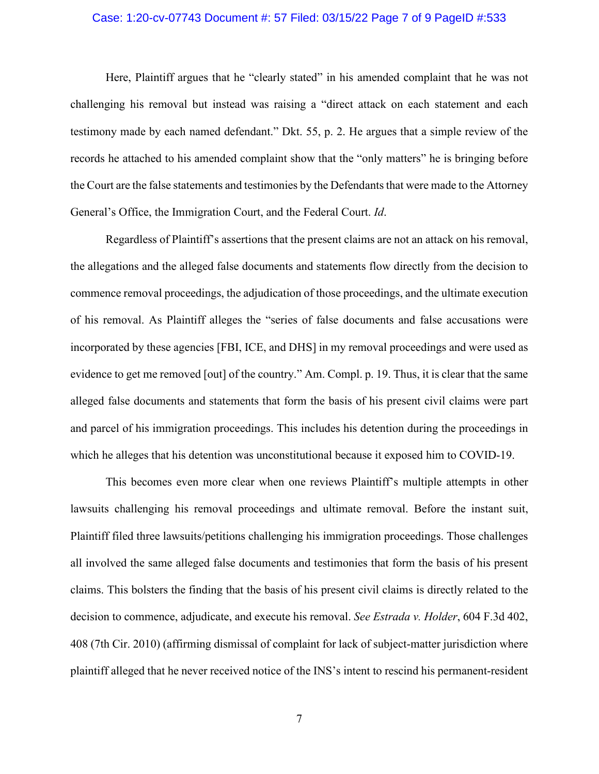#### Case: 1:20-cv-07743 Document #: 57 Filed: 03/15/22 Page 7 of 9 PageID #:533

Here, Plaintiff argues that he "clearly stated" in his amended complaint that he was not challenging his removal but instead was raising a "direct attack on each statement and each testimony made by each named defendant." Dkt. 55, p. 2. He argues that a simple review of the records he attached to his amended complaint show that the "only matters" he is bringing before the Court are the false statements and testimonies by the Defendants that were made to the Attorney General's Office, the Immigration Court, and the Federal Court. *Id*.

Regardless of Plaintiff's assertions that the present claims are not an attack on his removal, the allegations and the alleged false documents and statements flow directly from the decision to commence removal proceedings, the adjudication of those proceedings, and the ultimate execution of his removal. As Plaintiff alleges the "series of false documents and false accusations were incorporated by these agencies [FBI, ICE, and DHS] in my removal proceedings and were used as evidence to get me removed [out] of the country." Am. Compl. p. 19. Thus, it is clear that the same alleged false documents and statements that form the basis of his present civil claims were part and parcel of his immigration proceedings. This includes his detention during the proceedings in which he alleges that his detention was unconstitutional because it exposed him to COVID-19.

This becomes even more clear when one reviews Plaintiff's multiple attempts in other lawsuits challenging his removal proceedings and ultimate removal. Before the instant suit, Plaintiff filed three lawsuits/petitions challenging his immigration proceedings. Those challenges all involved the same alleged false documents and testimonies that form the basis of his present claims. This bolsters the finding that the basis of his present civil claims is directly related to the decision to commence, adjudicate, and execute his removal. *See Estrada v. Holder*, 604 F.3d 402, 408 (7th Cir. 2010) (affirming dismissal of complaint for lack of subject-matter jurisdiction where plaintiff alleged that he never received notice of the INS's intent to rescind his permanent-resident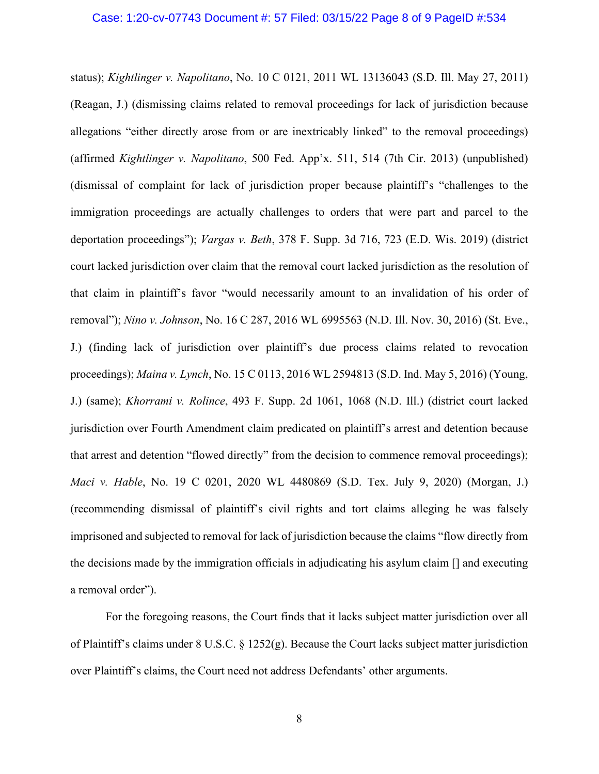#### Case: 1:20-cv-07743 Document #: 57 Filed: 03/15/22 Page 8 of 9 PageID #:534

status); *Kightlinger v. Napolitano*, No. 10 C 0121, 2011 WL 13136043 (S.D. Ill. May 27, 2011) (Reagan, J.) (dismissing claims related to removal proceedings for lack of jurisdiction because allegations "either directly arose from or are inextricably linked" to the removal proceedings) (affirmed *Kightlinger v. Napolitano*, 500 Fed. App'x. 511, 514 (7th Cir. 2013) (unpublished) (dismissal of complaint for lack of jurisdiction proper because plaintiff's "challenges to the immigration proceedings are actually challenges to orders that were part and parcel to the deportation proceedings"); *Vargas v. Beth*, 378 F. Supp. 3d 716, 723 (E.D. Wis. 2019) (district court lacked jurisdiction over claim that the removal court lacked jurisdiction as the resolution of that claim in plaintiff's favor "would necessarily amount to an invalidation of his order of removal"); *Nino v. Johnson*, No. 16 C 287, 2016 WL 6995563 (N.D. Ill. Nov. 30, 2016) (St. Eve., J.) (finding lack of jurisdiction over plaintiff's due process claims related to revocation proceedings); *Maina v. Lynch*, No. 15 C 0113, 2016 WL 2594813 (S.D. Ind. May 5, 2016) (Young, J.) (same); *Khorrami v. Rolince*, 493 F. Supp. 2d 1061, 1068 (N.D. Ill.) (district court lacked jurisdiction over Fourth Amendment claim predicated on plaintiff's arrest and detention because that arrest and detention "flowed directly" from the decision to commence removal proceedings); *Maci v. Hable*, No. 19 C 0201, 2020 WL 4480869 (S.D. Tex. July 9, 2020) (Morgan, J.) (recommending dismissal of plaintiff's civil rights and tort claims alleging he was falsely imprisoned and subjected to removal for lack of jurisdiction because the claims "flow directly from the decisions made by the immigration officials in adjudicating his asylum claim [] and executing a removal order").

For the foregoing reasons, the Court finds that it lacks subject matter jurisdiction over all of Plaintiff's claims under 8 U.S.C. § 1252(g). Because the Court lacks subject matter jurisdiction over Plaintiff's claims, the Court need not address Defendants' other arguments.